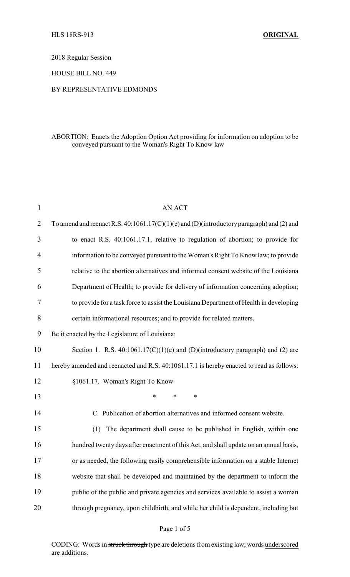2018 Regular Session

HOUSE BILL NO. 449

## BY REPRESENTATIVE EDMONDS

## ABORTION: Enacts the Adoption Option Act providing for information on adoption to be conveyed pursuant to the Woman's Right To Know law

| 1              | <b>AN ACT</b>                                                                               |
|----------------|---------------------------------------------------------------------------------------------|
| $\overline{2}$ | To amend and reenact R.S. $40:1061.17(C)(1)(e)$ and (D)(introductory paragraph) and (2) and |
| 3              | to enact R.S. 40:1061.17.1, relative to regulation of abortion; to provide for              |
| $\overline{4}$ | information to be conveyed pursuant to the Woman's Right To Know law; to provide            |
| 5              | relative to the abortion alternatives and informed consent website of the Louisiana         |
| 6              | Department of Health; to provide for delivery of information concerning adoption;           |
| 7              | to provide for a task force to assist the Louisiana Department of Health in developing      |
| 8              | certain informational resources; and to provide for related matters.                        |
| 9              | Be it enacted by the Legislature of Louisiana:                                              |
| 10             | Section 1. R.S. $40:1061.17(C)(1)(e)$ and (D)(introductory paragraph) and (2) are           |
| 11             | hereby amended and reenacted and R.S. 40:1061.17.1 is hereby enacted to read as follows:    |
| 12             | §1061.17. Woman's Right To Know                                                             |
| 13             | $\ast$<br>$\ast$<br>$\ast$                                                                  |
| 14             | C. Publication of abortion alternatives and informed consent website.                       |
| 15             | The department shall cause to be published in English, within one<br>(1)                    |
| 16             | hundred twenty days after enactment of this Act, and shall update on an annual basis,       |
| 17             | or as needed, the following easily comprehensible information on a stable Internet          |
| 18             | website that shall be developed and maintained by the department to inform the              |
| 19             | public of the public and private agencies and services available to assist a woman          |
| 20             | through pregnancy, upon childbirth, and while her child is dependent, including but         |
|                |                                                                                             |

## Page 1 of 5

CODING: Words in struck through type are deletions from existing law; words underscored are additions.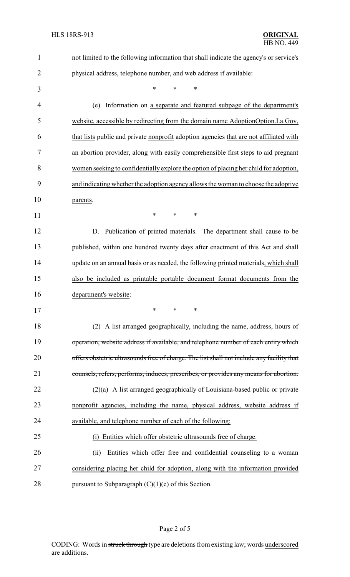| $\mathbf{1}$   | not limited to the following information that shall indicate the agency's or service's    |
|----------------|-------------------------------------------------------------------------------------------|
| $\overline{2}$ | physical address, telephone number, and web address if available:                         |
| 3              | *<br>*<br>*                                                                               |
| 4              | Information on a separate and featured subpage of the department's<br>(e)                 |
| 5              | website, accessible by redirecting from the domain name AdoptionOption.La.Gov,            |
| 6              | that lists public and private nonprofit adoption agencies that are not affiliated with    |
| 7              | an abortion provider, along with easily comprehensible first steps to aid pregnant        |
| 8              | women seeking to confidentially explore the option of placing her child for adoption,     |
| 9              | and indicating whether the adoption agency allows the woman to choose the adoptive        |
| 10             | parents.                                                                                  |
| 11             | ∗<br>*<br>∗                                                                               |
| 12             | Publication of printed materials. The department shall cause to be<br>D.                  |
| 13             | published, within one hundred twenty days after enactment of this Act and shall           |
| 14             | update on an annual basis or as needed, the following printed materials, which shall      |
| 15             | also be included as printable portable document format documents from the                 |
| 16             | department's website:                                                                     |
| 17             | *                                                                                         |
| 18             | (2) A list arranged geographically, including the name, address, hours of                 |
| 19             | operation, website address if available, and telephone number of each entity which        |
| 20             | offers obstetric ultrasounds free of charge. The list shall not include any facility that |
| 21             | counsels, refers, performs, induces, prescribes, or provides any means for abortion.      |
| 22             | $(2)(a)$ A list arranged geographically of Louisiana-based public or private              |
| 23             | nonprofit agencies, including the name, physical address, website address if              |
| 24             | available, and telephone number of each of the following:                                 |
| 25             | Entities which offer obstetric ultrasounds free of charge.<br>(i)                         |
| 26             | Entities which offer free and confidential counseling to a woman<br>(ii)                  |
| 27             | considering placing her child for adoption, along with the information provided           |
| 28             | pursuant to Subparagraph $(C)(1)(e)$ of this Section.                                     |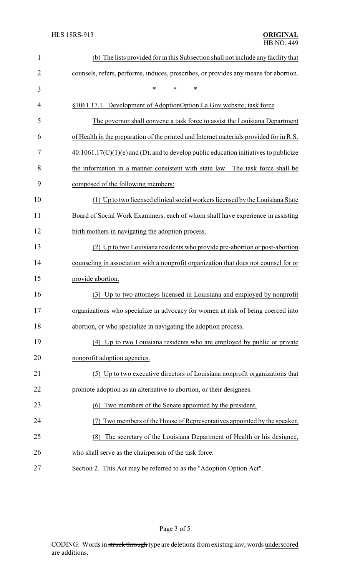| $\mathbf{1}$ | (b) The lists provided for in this Subsection shall not include any facility that       |
|--------------|-----------------------------------------------------------------------------------------|
| 2            | counsels, refers, performs, induces, prescribes, or provides any means for abortion.    |
| 3            | $\ast$<br>*<br>*                                                                        |
| 4            | §1061.17.1. Development of AdoptionOption.La.Gov website; task force                    |
| 5            | The governor shall convene a task force to assist the Louisiana Department              |
| 6            | of Health in the preparation of the printed and Internet materials provided for in R.S. |
| 7            | $40:1061.17(C)(1)(e)$ and (D), and to develop public education initiatives to publicize |
| 8            | the information in a manner consistent with state law. The task force shall be          |
| 9            | composed of the following members:                                                      |
| 10           | (1) Up to two licensed clinical social workers licensed by the Louisiana State          |
| 11           | Board of Social Work Examiners, each of whom shall have experience in assisting         |
| 12           | birth mothers in navigating the adoption process.                                       |
| 13           | (2) Up to two Louisiana residents who provide pre-abortion or post-abortion             |
| 14           | counseling in association with a nonprofit organization that does not counsel for or    |
| 15           | provide abortion.                                                                       |
| 16           | (3) Up to two attorneys licensed in Louisiana and employed by nonprofit                 |
| 17           | organizations who specialize in advocacy for women at risk of being coerced into        |
| 18           | abortion, or who specialize in navigating the adoption process.                         |
| 19           | (4) Up to two Louisiana residents who are employed by public or private                 |
| 20           | nonprofit adoption agencies.                                                            |
| 21           | (5) Up to two executive directors of Louisiana nonprofit organizations that             |
| 22           | promote adoption as an alternative to abortion, or their designees.                     |
| 23           | (6) Two members of the Senate appointed by the president.                               |
| 24           | Two members of the House of Representatives appointed by the speaker.                   |
| 25           | The secretary of the Louisiana Department of Health or his designee,<br>(8)             |
| 26           | who shall serve as the chairperson of the task force.                                   |
| 27           | Section 2. This Act may be referred to as the "Adoption Option Act".                    |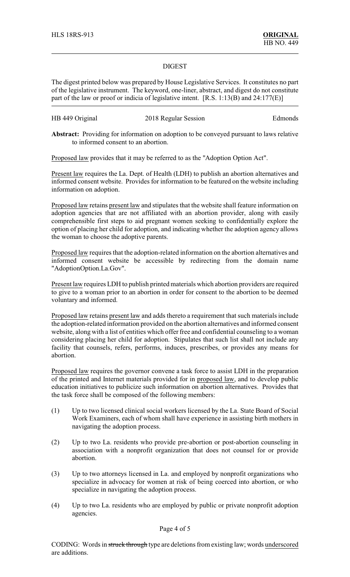## DIGEST

The digest printed below was prepared by House Legislative Services. It constitutes no part of the legislative instrument. The keyword, one-liner, abstract, and digest do not constitute part of the law or proof or indicia of legislative intent. [R.S. 1:13(B) and 24:177(E)]

| HB 449 Original | 2018 Regular Session | Edmonds |
|-----------------|----------------------|---------|
|-----------------|----------------------|---------|

**Abstract:** Providing for information on adoption to be conveyed pursuant to laws relative to informed consent to an abortion.

Proposed law provides that it may be referred to as the "Adoption Option Act".

Present law requires the La. Dept. of Health (LDH) to publish an abortion alternatives and informed consent website. Provides for information to be featured on the website including information on adoption.

Proposed law retains present law and stipulates that the website shall feature information on adoption agencies that are not affiliated with an abortion provider, along with easily comprehensible first steps to aid pregnant women seeking to confidentially explore the option of placing her child for adoption, and indicating whether the adoption agency allows the woman to choose the adoptive parents.

Proposed law requires that the adoption-related information on the abortion alternatives and informed consent website be accessible by redirecting from the domain name "AdoptionOption.La.Gov".

Present law requires LDH to publish printed materials which abortion providers are required to give to a woman prior to an abortion in order for consent to the abortion to be deemed voluntary and informed.

Proposed law retains present law and adds thereto a requirement that such materials include the adoption-related information provided on the abortion alternatives and informed consent website, along with a list of entities which offer free and confidential counseling to a woman considering placing her child for adoption. Stipulates that such list shall not include any facility that counsels, refers, performs, induces, prescribes, or provides any means for abortion.

Proposed law requires the governor convene a task force to assist LDH in the preparation of the printed and Internet materials provided for in proposed law, and to develop public education initiatives to publicize such information on abortion alternatives. Provides that the task force shall be composed of the following members:

- (1) Up to two licensed clinical social workers licensed by the La. State Board of Social Work Examiners, each of whom shall have experience in assisting birth mothers in navigating the adoption process.
- (2) Up to two La. residents who provide pre-abortion or post-abortion counseling in association with a nonprofit organization that does not counsel for or provide abortion.
- (3) Up to two attorneys licensed in La. and employed by nonprofit organizations who specialize in advocacy for women at risk of being coerced into abortion, or who specialize in navigating the adoption process.
- (4) Up to two La. residents who are employed by public or private nonprofit adoption agencies.